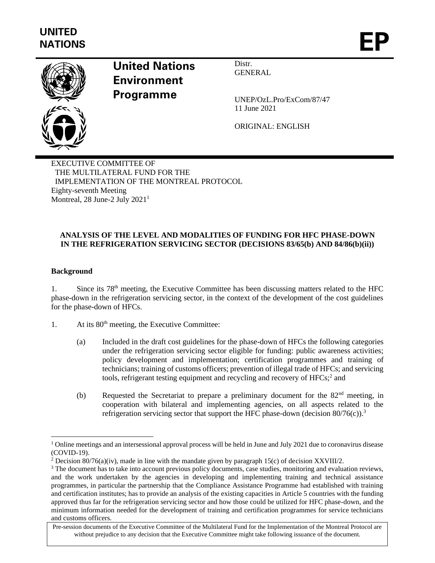

# **United Nations Environment Programme**

Distr. **GENERAL** 

UNEP/OzL.Pro/ExCom/87/47 11 June 2021

ORIGINAL: ENGLISH

EXECUTIVE COMMITTEE OF THE MULTILATERAL FUND FOR THE IMPLEMENTATION OF THE MONTREAL PROTOCOL Eighty-seventh Meeting Montreal, 28 June-2 July  $2021<sup>1</sup>$ 

# **ANALYSIS OF THE LEVEL AND MODALITIES OF FUNDING FOR HFC PHASE-DOWN IN THE REFRIGERATION SERVICING SECTOR (DECISIONS 83/65(b) AND 84/86(b)(ii))**

## **Background**

1. Since its 78<sup>th</sup> meeting, the Executive Committee has been discussing matters related to the HFC phase-down in the refrigeration servicing sector, in the context of the development of the cost guidelines for the phase-down of HFCs.

- 1. At its  $80<sup>th</sup>$  meeting, the Executive Committee:
	- (a) Included in the draft cost guidelines for the phase-down of HFCs the following categories under the refrigeration servicing sector eligible for funding: public awareness activities; policy development and implementation; certification programmes and training of technicians; training of customs officers; prevention of illegal trade of HFCs; and servicing tools, refrigerant testing equipment and recycling and recovery of HFCs;<sup>2</sup> and
	- (b) Requested the Secretariat to prepare a preliminary document for the 82nd meeting, in cooperation with bilateral and implementing agencies, on all aspects related to the refrigeration servicing sector that support the HFC phase-down (decision  $80/76(c)$ ).<sup>3</sup>

 $1$  Online meetings and an intersessional approval process will be held in June and July 2021 due to coronavirus disease (COVID-19).

<sup>&</sup>lt;sup>2</sup> Decision 80/76(a)(iv), made in line with the mandate given by paragraph 15(c) of decision XXVIII/2.

<sup>&</sup>lt;sup>3</sup> The document has to take into account previous policy documents, case studies, monitoring and evaluation reviews, and the work undertaken by the agencies in developing and implementing training and technical assistance programmes, in particular the partnership that the Compliance Assistance Programme had established with training and certification institutes; has to provide an analysis of the existing capacities in Article 5 countries with the funding approved thus far for the refrigeration servicing sector and how those could be utilized for HFC phase-down, and the minimum information needed for the development of training and certification programmes for service technicians and customs officers.

Pre-session documents of the Executive Committee of the Multilateral Fund for the Implementation of the Montreal Protocol are without prejudice to any decision that the Executive Committee might take following issuance of the document.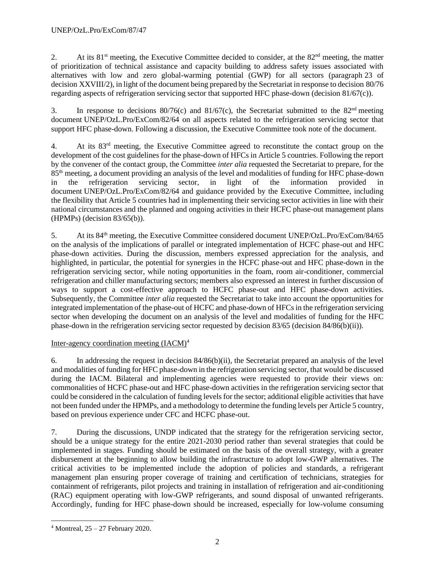2. At its  $81<sup>st</sup>$  meeting, the Executive Committee decided to consider, at the  $82<sup>nd</sup>$  meeting, the matter of prioritization of technical assistance and capacity building to address safety issues associated with alternatives with low and zero global-warming potential (GWP) for all sectors (paragraph 23 of decision XXVIII/2), in light of the document being prepared by the Secretariat in response to decision 80/76 regarding aspects of refrigeration servicing sector that supported HFC phase-down (decision 81/67(c)).

3. In response to decisions  $80/76(c)$  and  $81/67(c)$ , the Secretariat submitted to the  $82<sup>nd</sup>$  meeting document UNEP/OzL.Pro/ExCom/82/64 on all aspects related to the refrigeration servicing sector that support HFC phase-down. Following a discussion, the Executive Committee took note of the document.

4. At its 83rd meeting, the Executive Committee agreed to reconstitute the contact group on the development of the cost guidelines for the phase-down of HFCs in Article 5 countries. Following the report by the convener of the contact group, the Committee *inter alia* requested the Secretariat to prepare, for the 85th meeting, a document providing an analysis of the level and modalities of funding for HFC phase-down in the refrigeration servicing sector, in light of the information provided in document UNEP/OzL.Pro/ExCom/82/64 and guidance provided by the Executive Committee, including the flexibility that Article 5 countries had in implementing their servicing sector activities in line with their national circumstances and the planned and ongoing activities in their HCFC phase-out management plans (HPMPs) (decision 83/65(b)).

5. At its 84th meeting, the Executive Committee considered document UNEP/OzL.Pro/ExCom/84/65 on the analysis of the implications of parallel or integrated implementation of HCFC phase-out and HFC phase-down activities. During the discussion, members expressed appreciation for the analysis, and highlighted, in particular, the potential for synergies in the HCFC phase-out and HFC phase-down in the refrigeration servicing sector, while noting opportunities in the foam, room air-conditioner, commercial refrigeration and chiller manufacturing sectors; members also expressed an interest in further discussion of ways to support a cost-effective approach to HCFC phase-out and HFC phase-down activities. Subsequently, the Committee *inter alia* requested the Secretariat to take into account the opportunities for integrated implementation of the phase-out of HCFC and phase-down of HFCs in the refrigeration servicing sector when developing the document on an analysis of the level and modalities of funding for the HFC phase-down in the refrigeration servicing sector requested by decision 83/65 (decision 84/86(b)(ii)).

# Inter-agency coordination meeting (IACM)<sup>4</sup>

6. In addressing the request in decision 84/86(b)(ii), the Secretariat prepared an analysis of the level and modalities of funding for HFC phase-down in the refrigeration servicing sector, that would be discussed during the IACM. Bilateral and implementing agencies were requested to provide their views on: commonalities of HCFC phase-out and HFC phase-down activities in the refrigeration servicing sector that could be considered in the calculation of funding levels for the sector; additional eligible activities that have not been funded under the HPMPs, and a methodology to determine the funding levels per Article 5 country, based on previous experience under CFC and HCFC phase-out.

7. During the discussions, UNDP indicated that the strategy for the refrigeration servicing sector, should be a unique strategy for the entire 2021-2030 period rather than several strategies that could be implemented in stages. Funding should be estimated on the basis of the overall strategy, with a greater disbursement at the beginning to allow building the infrastructure to adopt low-GWP alternatives. The critical activities to be implemented include the adoption of policies and standards, a refrigerant management plan ensuring proper coverage of training and certification of technicians, strategies for containment of refrigerants, pilot projects and training in installation of refrigeration and air-conditioning (RAC) equipment operating with low-GWP refrigerants, and sound disposal of unwanted refrigerants. Accordingly, funding for HFC phase-down should be increased, especially for low-volume consuming

 $4$  Montreal,  $25 - 27$  February 2020.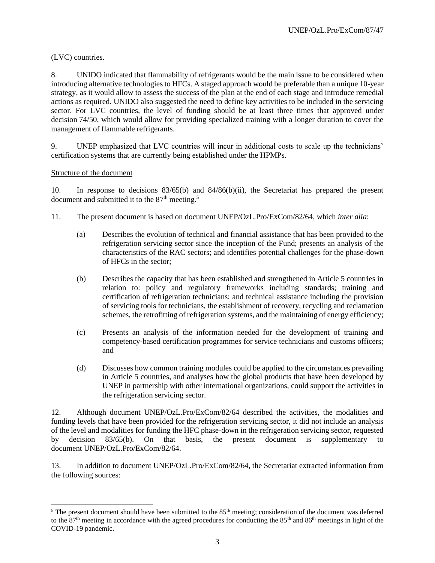# (LVC) countries.

8. UNIDO indicated that flammability of refrigerants would be the main issue to be considered when introducing alternative technologies to HFCs. A staged approach would be preferable than a unique 10-year strategy, as it would allow to assess the success of the plan at the end of each stage and introduce remedial actions as required. UNIDO also suggested the need to define key activities to be included in the servicing sector. For LVC countries, the level of funding should be at least three times that approved under decision 74/50, which would allow for providing specialized training with a longer duration to cover the management of flammable refrigerants.

9. UNEP emphasized that LVC countries will incur in additional costs to scale up the technicians' certification systems that are currently being established under the HPMPs.

#### Structure of the document

10. In response to decisions 83/65(b) and 84/86(b)(ii), the Secretariat has prepared the present document and submitted it to the  $87<sup>th</sup>$  meeting.<sup>5</sup>

- 11. The present document is based on document UNEP/OzL.Pro/ExCom/82/64, which *inter alia*:
	- (a) Describes the evolution of technical and financial assistance that has been provided to the refrigeration servicing sector since the inception of the Fund; presents an analysis of the characteristics of the RAC sectors; and identifies potential challenges for the phase-down of HFCs in the sector;
	- (b) Describes the capacity that has been established and strengthened in Article 5 countries in relation to: policy and regulatory frameworks including standards; training and certification of refrigeration technicians; and technical assistance including the provision of servicing tools for technicians, the establishment of recovery, recycling and reclamation schemes, the retrofitting of refrigeration systems, and the maintaining of energy efficiency;
	- (c) Presents an analysis of the information needed for the development of training and competency-based certification programmes for service technicians and customs officers; and
	- (d) Discusses how common training modules could be applied to the circumstances prevailing in Article 5 countries, and analyses how the global products that have been developed by UNEP in partnership with other international organizations, could support the activities in the refrigeration servicing sector.

12. Although document UNEP/OzL.Pro/ExCom/82/64 described the activities, the modalities and funding levels that have been provided for the refrigeration servicing sector, it did not include an analysis of the level and modalities for funding the HFC phase-down in the refrigeration servicing sector, requested by decision 83/65(b). On that basis, the present document is supplementary to document UNEP/OzL.Pro/ExCom/82/64.

13. In addition to document UNEP/OzL.Pro/ExCom/82/64, the Secretariat extracted information from the following sources:

<sup>&</sup>lt;sup>5</sup> The present document should have been submitted to the  $85<sup>th</sup>$  meeting; consideration of the document was deferred to the  $87<sup>th</sup>$  meeting in accordance with the agreed procedures for conducting the  $85<sup>th</sup>$  and  $86<sup>th</sup>$  meetings in light of the COVID-19 pandemic.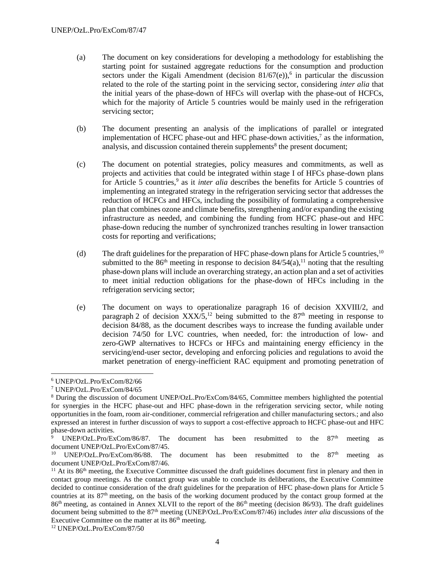- (a) The document on key considerations for developing a methodology for establishing the starting point for sustained aggregate reductions for the consumption and production sectors under the Kigali Amendment (decision  $81/67$ (e)),<sup>6</sup> in particular the discussion related to the role of the starting point in the servicing sector, considering *inter alia* that the initial years of the phase-down of HFCs will overlap with the phase-out of HCFCs, which for the majority of Article 5 countries would be mainly used in the refrigeration servicing sector;
- (b) The document presenting an analysis of the implications of parallel or integrated implementation of HCFC phase-out and HFC phase-down activities, $\alpha$  as the information, analysis, and discussion contained therein supplements<sup>8</sup> the present document;
- (c) The document on potential strategies, policy measures and commitments, as well as projects and activities that could be integrated within stage I of HFCs phase-down plans for Article 5 countries,<sup>9</sup> as it *inter alia* describes the benefits for Article 5 countries of implementing an integrated strategy in the refrigeration servicing sector that addresses the reduction of HCFCs and HFCs, including the possibility of formulating a comprehensive plan that combines ozone and climate benefits, strengthening and/or expanding the existing infrastructure as needed, and combining the funding from HCFC phase-out and HFC phase-down reducing the number of synchronized tranches resulting in lower transaction costs for reporting and verifications;
- (d) The draft guidelines for the preparation of HFC phase-down plans for Article 5 countries,<sup>10</sup> submitted to the 86<sup>th</sup> meeting in response to decision  $84/54(a)$ ,<sup>11</sup> noting that the resulting phase-down plans will include an overarching strategy, an action plan and a set of activities to meet initial reduction obligations for the phase-down of HFCs including in the refrigeration servicing sector;
- (e) The document on ways to operationalize paragraph 16 of decision XXVIII/2, and paragraph 2 of decision  $XXX/5$ ,<sup>12</sup> being submitted to the 87<sup>th</sup> meeting in response to decision 84/88, as the document describes ways to increase the funding available under decision 74/50 for LVC countries, when needed, for: the introduction of low- and zero-GWP alternatives to HCFCs or HFCs and maintaining energy efficiency in the servicing/end-user sector, developing and enforcing policies and regulations to avoid the market penetration of energy-inefficient RAC equipment and promoting penetration of

<sup>6</sup> UNEP/OzL.Pro/ExCom/82/66

<sup>7</sup> UNEP/OzL.Pro/ExCom/84/65

<sup>8</sup> During the discussion of document UNEP/OzL.Pro/ExCom/84/65, Committee members highlighted the potential for synergies in the HCFC phase-out and HFC phase-down in the refrigeration servicing sector, while noting opportunities in the foam, room air-conditioner, commercial refrigeration and chiller manufacturing sectors.; and also expressed an interest in further discussion of ways to support a cost-effective approach to HCFC phase-out and HFC phase-down activities.

UNEP/OzL.Pro/ExCom/86/87. The document has been resubmitted to the  $87<sup>th</sup>$  meeting as document UNEP/OzL.Pro/ExCom/87/45.

UNEP/OzL.Pro/ExCom/86/88. The document has been resubmitted to the  $87<sup>th</sup>$  meeting as document UNEP/OzL.Pro/ExCom/87/46.

 $11$  At its 86<sup>th</sup> meeting, the Executive Committee discussed the draft guidelines document first in plenary and then in contact group meetings. As the contact group was unable to conclude its deliberations, the Executive Committee decided to continue consideration of the draft guidelines for the preparation of HFC phase-down plans for Article 5 countries at its 87th meeting, on the basis of the working document produced by the contact group formed at the 86<sup>th</sup> meeting, as contained in Annex XLVII to the report of the 86<sup>th</sup> meeting (decision 86/93). The draft guidelines document being submitted to the 87th meeting (UNEP/OzL.Pro/ExCom/87/46) includes *inter alia* discussions of the Executive Committee on the matter at its 86<sup>th</sup> meeting.

<sup>12</sup> UNEP/OzL.Pro/ExCom/87/50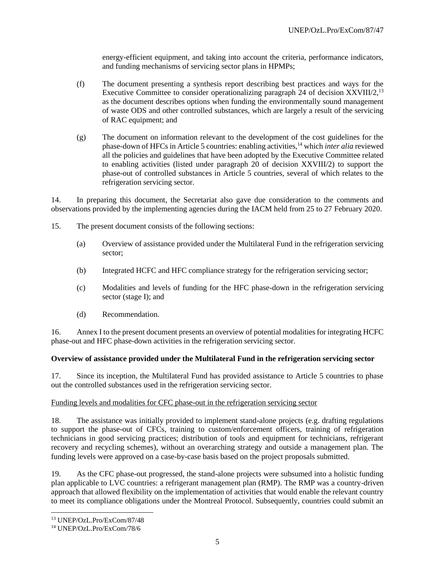energy-efficient equipment, and taking into account the criteria, performance indicators, and funding mechanisms of servicing sector plans in HPMPs;

- (f) The document presenting a synthesis report describing best practices and ways for the Executive Committee to consider operationalizing paragraph 24 of decision XXVIII/2,<sup>13</sup> as the document describes options when funding the environmentally sound management of waste ODS and other controlled substances, which are largely a result of the servicing of RAC equipment; and
- (g) The document on information relevant to the development of the cost guidelines for the phase-down of HFCs in Article 5 countries: enabling activities,<sup>14</sup> which *inter alia* reviewed all the policies and guidelines that have been adopted by the Executive Committee related to enabling activities (listed under paragraph 20 of decision XXVIII/2) to support the phase-out of controlled substances in Article 5 countries, several of which relates to the refrigeration servicing sector.

14. In preparing this document, the Secretariat also gave due consideration to the comments and observations provided by the implementing agencies during the IACM held from 25 to 27 February 2020.

- 15. The present document consists of the following sections:
	- (a) Overview of assistance provided under the Multilateral Fund in the refrigeration servicing sector;
	- (b) Integrated HCFC and HFC compliance strategy for the refrigeration servicing sector;
	- (c) Modalities and levels of funding for the HFC phase-down in the refrigeration servicing sector (stage I); and
	- (d) Recommendation.

16. Annex I to the present document presents an overview of potential modalities for integrating HCFC phase-out and HFC phase-down activities in the refrigeration servicing sector.

# **Overview of assistance provided under the Multilateral Fund in the refrigeration servicing sector**

17. Since its inception, the Multilateral Fund has provided assistance to Article 5 countries to phase out the controlled substances used in the refrigeration servicing sector.

#### Funding levels and modalities for CFC phase-out in the refrigeration servicing sector

18. The assistance was initially provided to implement stand-alone projects (e.g. drafting regulations to support the phase-out of CFCs, training to custom/enforcement officers, training of refrigeration technicians in good servicing practices; distribution of tools and equipment for technicians, refrigerant recovery and recycling schemes), without an overarching strategy and outside a management plan. The funding levels were approved on a case-by-case basis based on the project proposals submitted.

19. As the CFC phase-out progressed, the stand-alone projects were subsumed into a holistic funding plan applicable to LVC countries: a refrigerant management plan (RMP). The RMP was a country-driven approach that allowed flexibility on the implementation of activities that would enable the relevant country to meet its compliance obligations under the Montreal Protocol. Subsequently, countries could submit an

<sup>13</sup> UNEP/OzL.Pro/ExCom/87/48

<sup>14</sup> UNEP/OzL.Pro/ExCom/78/6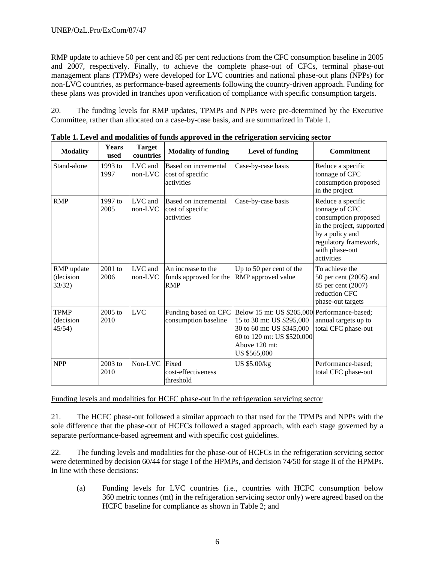RMP update to achieve 50 per cent and 85 per cent reductions from the CFC consumption baseline in 2005 and 2007, respectively. Finally, to achieve the complete phase-out of CFCs, terminal phase-out management plans (TPMPs) were developed for LVC countries and national phase-out plans (NPPs) for non-LVC countries, as performance-based agreements following the country-driven approach. Funding for these plans was provided in tranches upon verification of compliance with specific consumption targets.

20. The funding levels for RMP updates, TPMPs and NPPs were pre-determined by the Executive Committee, rather than allocated on a case-by-case basis, and are summarized in Table 1.

| <b>Modality</b>                     | <b>Years</b><br>used | <b>Target</b><br>countries | <b>Modality of funding</b>                                 | Level of funding                                                                                                                                                      | <b>Commitment</b>                                                                                                                                                    |
|-------------------------------------|----------------------|----------------------------|------------------------------------------------------------|-----------------------------------------------------------------------------------------------------------------------------------------------------------------------|----------------------------------------------------------------------------------------------------------------------------------------------------------------------|
| Stand-alone                         | 1993 to<br>1997      | LVC and<br>non-LVC         | Based on incremental<br>cost of specific<br>activities     | Case-by-case basis                                                                                                                                                    | Reduce a specific<br>tonnage of CFC<br>consumption proposed<br>in the project                                                                                        |
| <b>RMP</b>                          | 1997 to<br>2005      | LVC and<br>$non-LVC$       | Based on incremental<br>cost of specific<br>activities     | Case-by-case basis                                                                                                                                                    | Reduce a specific<br>tonnage of CFC<br>consumption proposed<br>in the project, supported<br>by a policy and<br>regulatory framework,<br>with phase-out<br>activities |
| RMP update<br>(decision<br>33/32)   | $2001$ to<br>2006    | LVC and<br>$non-LVC$       | An increase to the<br>funds approved for the<br><b>RMP</b> | Up to 50 per cent of the<br>RMP approved value                                                                                                                        | To achieve the<br>50 per cent $(2005)$ and<br>85 per cent (2007)<br>reduction CFC<br>phase-out targets                                                               |
| <b>TPMP</b><br>(decision)<br>45/54) | 2005 to<br>2010      | <b>LVC</b>                 | Funding based on CFC<br>consumption baseline               | Below 15 mt: US \$205,000 Performance-based;<br>15 to 30 mt: US \$295,000<br>30 to 60 mt: US \$345,000<br>60 to 120 mt: US \$520,000<br>Above 120 mt:<br>US \$565,000 | annual targets up to<br>total CFC phase-out                                                                                                                          |
| <b>NPP</b>                          | 2003 to<br>2010      | Non-LVC                    | Fixed<br>cost-effectiveness<br>threshold                   | US \$5.00/kg                                                                                                                                                          | Performance-based;<br>total CFC phase-out                                                                                                                            |

**Table 1. Level and modalities of funds approved in the refrigeration servicing sector** 

Funding levels and modalities for HCFC phase-out in the refrigeration servicing sector

21. The HCFC phase-out followed a similar approach to that used for the TPMPs and NPPs with the sole difference that the phase-out of HCFCs followed a staged approach, with each stage governed by a separate performance-based agreement and with specific cost guidelines.

22. The funding levels and modalities for the phase-out of HCFCs in the refrigeration servicing sector were determined by decision 60/44 for stage I of the HPMPs, and decision 74/50 for stage II of the HPMPs. In line with these decisions:

(a) Funding levels for LVC countries (i.e., countries with HCFC consumption below 360 metric tonnes (mt) in the refrigeration servicing sector only) were agreed based on the HCFC baseline for compliance as shown in Table 2; and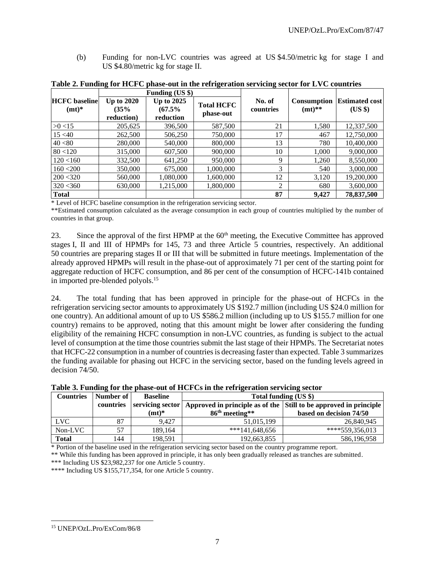(b) Funding for non-LVC countries was agreed at US \$4.50/metric kg for stage I and US \$4.80/metric kg for stage II.

|                                 |                                         | $F$ unding $( \cup$ s s $)$                 |                                |                     |                         |                                  |
|---------------------------------|-----------------------------------------|---------------------------------------------|--------------------------------|---------------------|-------------------------|----------------------------------|
| <b>HCFC</b> baseline<br>$(mt)*$ | <b>Up to 2020</b><br>(35%<br>reduction) | <b>Up to 2025</b><br>$(67.5\%$<br>reduction | <b>Total HCFC</b><br>phase-out | No. of<br>countries | Consumption<br>$(mt)**$ | <b>Estimated cost</b><br>$(US \$ |
| $>0$ <15                        | 205,625                                 | 396,500                                     | 587,500                        | 21                  | 1,580                   | 12,337,500                       |
| 15 < 40                         | 262,500                                 | 506,250                                     | 750,000                        | 17                  | 467                     | 12,750,000                       |
| 40 < 80                         | 280,000                                 | 540,000                                     | 800,000                        | 13                  | 780                     | 10,400,000                       |
| 80 < 120                        | 315,000                                 | 607,500                                     | 900,000                        | 10                  | 1,000                   | 9,000,000                        |
| 120 < 160                       | 332,500                                 | 641,250                                     | 950,000                        | 9                   | 1,260                   | 8,550,000                        |
| 160 < 200                       | 350,000                                 | 675,000                                     | 1,000,000                      | 3                   | 540                     | 3,000,000                        |
| 200 < 320                       | 560,000                                 | 1,080,000                                   | 1,600,000                      | 12                  | 3,120                   | 19,200,000                       |
| 320 < 360                       | 630,000                                 | 1,215,000                                   | 1,800,000                      | 2                   | 680                     | 3,600,000                        |
| <b>Total</b>                    |                                         |                                             |                                | 87                  | 9,427                   | 78,837,500                       |

**Table 2. Funding for HCFC phase-out in the refrigeration servicing sector for LVC countries Funding (US \$)**

\* Level of HCFC baseline consumption in the refrigeration servicing sector.

\*\*Estimated consumption calculated as the average consumption in each group of countries multiplied by the number of countries in that group.

23. Since the approval of the first HPMP at the  $60<sup>th</sup>$  meeting, the Executive Committee has approved stages I, II and III of HPMPs for 145, 73 and three Article 5 countries, respectively. An additional 50 countries are preparing stages II or III that will be submitted in future meetings. Implementation of the already approved HPMPs will result in the phase-out of approximately 71 per cent of the starting point for aggregate reduction of HCFC consumption, and 86 per cent of the consumption of HCFC-141b contained in imported pre-blended polyols.<sup>15</sup>

24. The total funding that has been approved in principle for the phase-out of HCFCs in the refrigeration servicing sector amounts to approximately US \$192.7 million (including US \$24.0 million for one country). An additional amount of up to US \$586.2 million (including up to US \$155.7 million for one country) remains to be approved, noting that this amount might be lower after considering the funding eligibility of the remaining HCFC consumption in non-LVC countries, as funding is subject to the actual level of consumption at the time those countries submit the last stage of their HPMPs. The Secretariat notes that HCFC-22 consumption in a number of countries is decreasing faster than expected. Table 3 summarizes the funding available for phasing out HCFC in the servicing sector, based on the funding levels agreed in decision 74/50.

|                  | Table 5. Funding for the phase-out of fitch cs in the refrigeration servicing sector |                 |                                                                                        |                         |  |  |
|------------------|--------------------------------------------------------------------------------------|-----------------|----------------------------------------------------------------------------------------|-------------------------|--|--|
| <b>Countries</b> | Number of                                                                            | <b>Baseline</b> | Total funding (US \$)                                                                  |                         |  |  |
|                  | countries                                                                            |                 | servicing sector   Approved in principle as of the   Still to be approved in principle |                         |  |  |
|                  |                                                                                      | $(mt)*$         | $86th$ meeting**                                                                       | based on decision 74/50 |  |  |
| LVC.             | 87                                                                                   | 9.427           | 51,015,199                                                                             | 26,840,945              |  |  |
| Non-LVC          | 57                                                                                   | 189.164         | $***141,648,656$                                                                       | $****559,356,013$       |  |  |
| <b>Total</b>     | 144                                                                                  | 198,591         | 192,663,855                                                                            | 586,196,958             |  |  |

**Table 3. Funding for the phase-out of HCFCs in the refrigeration servicing sector** 

\* Portion of the baseline used in the refrigeration servicing sector based on the country programme report.

\*\* While this funding has been approved in principle, it has only been gradually released as tranches are submitted. \*\*\* Including US \$23,982,237 for one Article 5 country.

\*\*\*\* Including US \$155,717,354, for one Article 5 country.

<sup>15</sup> UNEP/OzL.Pro/ExCom/86/8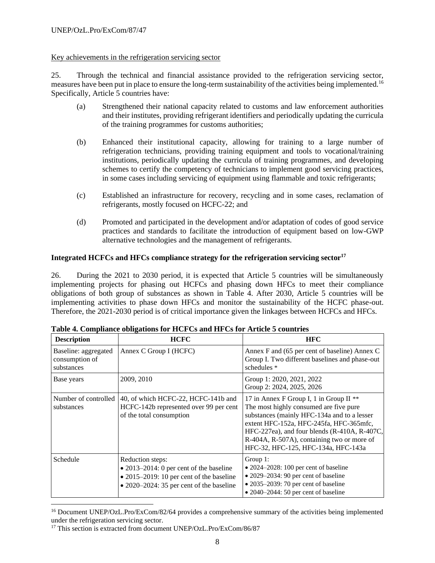#### Key achievements in the refrigeration servicing sector

25. Through the technical and financial assistance provided to the refrigeration servicing sector, measures have been put in place to ensure the long-term sustainability of the activities being implemented.<sup>16</sup> Specifically, Article 5 countries have:

- (a) Strengthened their national capacity related to customs and law enforcement authorities and their institutes, providing refrigerant identifiers and periodically updating the curricula of the training programmes for customs authorities;
- (b) Enhanced their institutional capacity, allowing for training to a large number of refrigeration technicians, providing training equipment and tools to vocational/training institutions, periodically updating the curricula of training programmes, and developing schemes to certify the competency of technicians to implement good servicing practices, in some cases including servicing of equipment using flammable and toxic refrigerants;
- (c) Established an infrastructure for recovery, recycling and in some cases, reclamation of refrigerants, mostly focused on HCFC-22; and
- (d) Promoted and participated in the development and/or adaptation of codes of good service practices and standards to facilitate the introduction of equipment based on low-GWP alternative technologies and the management of refrigerants.

## **Integrated HCFCs and HFCs compliance strategy for the refrigeration servicing sector<sup>17</sup>**

26. During the 2021 to 2030 period, it is expected that Article 5 countries will be simultaneously implementing projects for phasing out HCFCs and phasing down HFCs to meet their compliance obligations of both group of substances as shown in Table 4. After 2030, Article 5 countries will be implementing activities to phase down HFCs and monitor the sustainability of the HCFC phase-out. Therefore, the 2021-2030 period is of critical importance given the linkages between HCFCs and HFCs.

| <b>Description</b>                                   | <b>HCFC</b>                                                                                                                                                                 | <b>HFC</b>                                                                                                                                                                                                                                                                                                         |
|------------------------------------------------------|-----------------------------------------------------------------------------------------------------------------------------------------------------------------------------|--------------------------------------------------------------------------------------------------------------------------------------------------------------------------------------------------------------------------------------------------------------------------------------------------------------------|
| Baseline: aggregated<br>consumption of<br>substances | Annex C Group I (HCFC)                                                                                                                                                      | Annex F and (65 per cent of baseline) Annex C<br>Group I. Two different baselines and phase-out<br>schedules *                                                                                                                                                                                                     |
| Base years                                           | 2009, 2010                                                                                                                                                                  | Group 1: 2020, 2021, 2022<br>Group 2: 2024, 2025, 2026                                                                                                                                                                                                                                                             |
| Number of controlled<br>substances                   | 40, of which HCFC-22, HCFC-141b and<br>HCFC-142b represented over 99 per cent<br>of the total consumption                                                                   | 17 in Annex F Group I, 1 in Group II **<br>The most highly consumed are five pure<br>substances (mainly HFC-134a and to a lesser<br>extent HFC-152a, HFC-245fa, HFC-365mfc,<br>HFC-227ea), and four blends $(R-410A, R-407C,$<br>R-404A, R-507A), containing two or more of<br>HFC-32, HFC-125, HFC-134a, HFC-143a |
| Schedule                                             | Reduction steps:<br>$\bullet$ 2013–2014: 0 per cent of the baseline<br>$\bullet$ 2015–2019: 10 per cent of the baseline<br>$\bullet$ 2020–2024: 35 per cent of the baseline | Group 1:<br>$\bullet$ 2024–2028: 100 per cent of baseline<br>• 2029-2034: 90 per cent of baseline<br>$\bullet$ 2035–2039: 70 per cent of baseline<br>$\bullet$ 2040–2044: 50 per cent of baseline                                                                                                                  |

|  |  |  |  |  |  | Table 4. Compliance obligations for HCFCs and HFCs for Article 5 countries |
|--|--|--|--|--|--|----------------------------------------------------------------------------|
|--|--|--|--|--|--|----------------------------------------------------------------------------|

<sup>&</sup>lt;sup>16</sup> Document UNEP/OzL.Pro/ExCom/82/64 provides a comprehensive summary of the activities being implemented under the refrigeration servicing sector.

<sup>&</sup>lt;sup>17</sup> This section is extracted from document UNEP/OzL.Pro/ExCom/86/87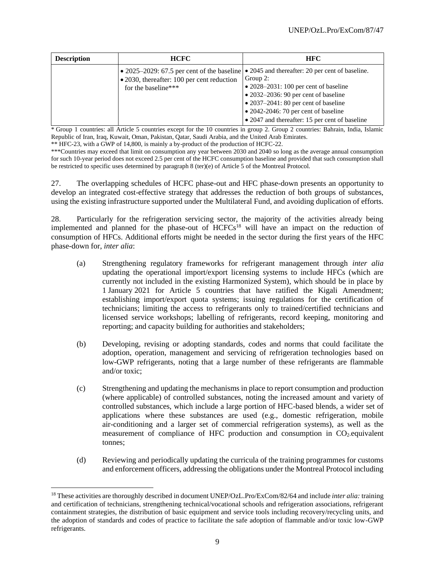| <b>Description</b> | <b>HCFC</b>                                                       | <b>HFC</b>                                                                                                                                                                                                                                                                                                                                                  |
|--------------------|-------------------------------------------------------------------|-------------------------------------------------------------------------------------------------------------------------------------------------------------------------------------------------------------------------------------------------------------------------------------------------------------------------------------------------------------|
|                    | • 2030, thereafter: 100 per cent reduction<br>for the baseline*** | • 2025–2029: 67.5 per cent of the baseline   • 2045 and thereafter: 20 per cent of baseline.<br>Group 2:<br>$\bullet$ 2028–2031: 100 per cent of baseline<br>$\bullet$ 2032–2036: 90 per cent of baseline<br>$\bullet$ 2037–2041: 80 per cent of baseline<br>$\bullet$ 2042-2046: 70 per cent of baseline<br>• 2047 and thereafter: 15 per cent of baseline |

\* Group 1 countries: all Article 5 countries except for the 10 countries in group 2. Group 2 countries: Bahrain, India, Islamic Republic of Iran, Iraq, Kuwait, Oman, Pakistan, Qatar, Saudi Arabia, and the United Arab Emirates.

\*\* HFC-23, with a GWP of 14,800, is mainly a by-product of the production of HCFC-22.

\*\*\*Countries may exceed that limit on consumption any year between 2030 and 2040 so long as the average annual consumption for such 10-year period does not exceed 2.5 per cent of the HCFC consumption baseline and provided that such consumption shall be restricted to specific uses determined by paragraph 8 (ter)(e) of Article 5 of the Montreal Protocol.

27. The overlapping schedules of HCFC phase-out and HFC phase-down presents an opportunity to develop an integrated cost-effective strategy that addresses the reduction of both groups of substances, using the existing infrastructure supported under the Multilateral Fund, and avoiding duplication of efforts.

28. Particularly for the refrigeration servicing sector, the majority of the activities already being implemented and planned for the phase-out of HCFCs<sup>18</sup> will have an impact on the reduction of consumption of HFCs. Additional efforts might be needed in the sector during the first years of the HFC phase-down for, *inter alia*:

- (a) Strengthening regulatory frameworks for refrigerant management through *inter alia*  updating the operational import/export licensing systems to include HFCs (which are currently not included in the existing Harmonized System), which should be in place by 1 January 2021 for Article 5 countries that have ratified the Kigali Amendment; establishing import/export quota systems; issuing regulations for the certification of technicians; limiting the access to refrigerants only to trained/certified technicians and licensed service workshops; labelling of refrigerants, record keeping, monitoring and reporting; and capacity building for authorities and stakeholders;
- (b) Developing, revising or adopting standards, codes and norms that could facilitate the adoption, operation, management and servicing of refrigeration technologies based on low-GWP refrigerants, noting that a large number of these refrigerants are flammable and/or toxic;
- (c) Strengthening and updating the mechanisms in place to report consumption and production (where applicable) of controlled substances, noting the increased amount and variety of controlled substances, which include a large portion of HFC-based blends, a wider set of applications where these substances are used (e.g., domestic refrigeration, mobile air-conditioning and a larger set of commercial refrigeration systems), as well as the measurement of compliance of HFC production and consumption in  $CO<sub>2</sub>$ -equivalent tonnes;
- (d) Reviewing and periodically updating the curricula of the training programmes for customs and enforcement officers, addressing the obligations under the Montreal Protocol including

<sup>18</sup> These activities are thoroughly described in document UNEP/OzL.Pro/ExCom/82/64 and include *inter alia:* training and certification of technicians, strengthening technical/vocational schools and refrigeration associations, refrigerant containment strategies, the distribution of basic equipment and service tools including recovery/recycling units, and the adoption of standards and codes of practice to facilitate the safe adoption of flammable and/or toxic low-GWP refrigerants.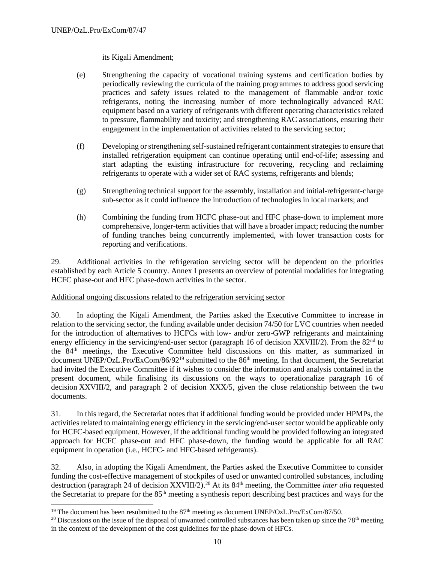its Kigali Amendment;

- (e) Strengthening the capacity of vocational training systems and certification bodies by periodically reviewing the curricula of the training programmes to address good servicing practices and safety issues related to the management of flammable and/or toxic refrigerants, noting the increasing number of more technologically advanced RAC equipment based on a variety of refrigerants with different operating characteristics related to pressure, flammability and toxicity; and strengthening RAC associations, ensuring their engagement in the implementation of activities related to the servicing sector;
- (f) Developing or strengthening self-sustained refrigerant containment strategies to ensure that installed refrigeration equipment can continue operating until end-of-life; assessing and start adapting the existing infrastructure for recovering, recycling and reclaiming refrigerants to operate with a wider set of RAC systems, refrigerants and blends;
- (g) Strengthening technical support for the assembly, installation and initial-refrigerant-charge sub-sector as it could influence the introduction of technologies in local markets; and
- (h) Combining the funding from HCFC phase-out and HFC phase-down to implement more comprehensive, longer-term activities that will have a broader impact; reducing the number of funding tranches being concurrently implemented, with lower transaction costs for reporting and verifications.

29. Additional activities in the refrigeration servicing sector will be dependent on the priorities established by each Article 5 country. Annex I presents an overview of potential modalities for integrating HCFC phase-out and HFC phase-down activities in the sector.

#### Additional ongoing discussions related to the refrigeration servicing sector

30. In adopting the Kigali Amendment, the Parties asked the Executive Committee to increase in relation to the servicing sector, the funding available under decision 74/50 for LVC countries when needed for the introduction of alternatives to HCFCs with low- and/or zero-GWP refrigerants and maintaining energy efficiency in the servicing/end-user sector (paragraph 16 of decision XXVIII/2). From the 82<sup>nd</sup> to the 84th meetings, the Executive Committee held discussions on this matter, as summarized in document UNEP/OzL.Pro/ExCom/86/92<sup>19</sup> submitted to the 86<sup>th</sup> meeting. In that document, the Secretariat had invited the Executive Committee if it wishes to consider the information and analysis contained in the present document, while finalising its discussions on the ways to operationalize paragraph 16 of decision XXVIII/2, and paragraph 2 of decision XXX/5, given the close relationship between the two documents.

31. In this regard, the Secretariat notes that if additional funding would be provided under HPMPs, the activities related to maintaining energy efficiency in the servicing/end-user sector would be applicable only for HCFC-based equipment. However, if the additional funding would be provided following an integrated approach for HCFC phase-out and HFC phase-down, the funding would be applicable for all RAC equipment in operation (i.e., HCFC- and HFC-based refrigerants).

32. Also, in adopting the Kigali Amendment, the Parties asked the Executive Committee to consider funding the cost-effective management of stockpiles of used or unwanted controlled substances, including destruction (paragraph 24 of decision XXVIII/2).<sup>20</sup> At its 84<sup>th</sup> meeting, the Committee *inter alia* requested the Secretariat to prepare for the 85th meeting a synthesis report describing best practices and ways for the

<sup>&</sup>lt;sup>19</sup> The document has been resubmitted to the  $87<sup>th</sup>$  meeting as document UNEP/OzL.Pro/ExCom/87/50.

<sup>&</sup>lt;sup>20</sup> Discussions on the issue of the disposal of unwanted controlled substances has been taken up since the  $78<sup>th</sup>$  meeting in the context of the development of the cost guidelines for the phase-down of HFCs.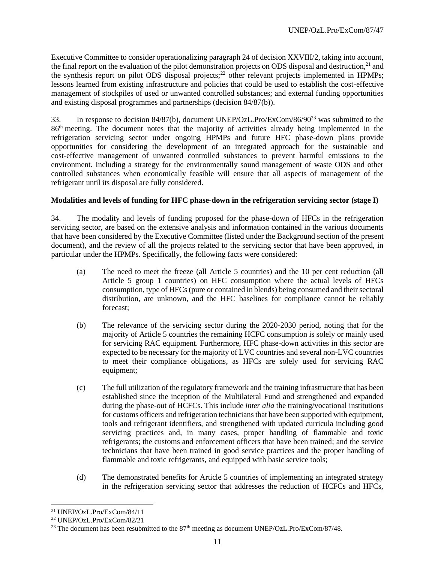Executive Committee to consider operationalizing paragraph 24 of decision XXVIII/2, taking into account, the final report on the evaluation of the pilot demonstration projects on ODS disposal and destruction,<sup>21</sup> and the synthesis report on pilot ODS disposal projects;<sup>22</sup> other relevant projects implemented in HPMPs; lessons learned from existing infrastructure and policies that could be used to establish the cost-effective management of stockpiles of used or unwanted controlled substances; and external funding opportunities and existing disposal programmes and partnerships (decision 84/87(b)).

33. In response to decision 84/87(b), document UNEP/OzL.Pro/ExCom/86/90<sup>23</sup> was submitted to the 86<sup>th</sup> meeting. The document notes that the majority of activities already being implemented in the refrigeration servicing sector under ongoing HPMPs and future HFC phase-down plans provide opportunities for considering the development of an integrated approach for the sustainable and cost-effective management of unwanted controlled substances to prevent harmful emissions to the environment. Including a strategy for the environmentally sound management of waste ODS and other controlled substances when economically feasible will ensure that all aspects of management of the refrigerant until its disposal are fully considered.

## **Modalities and levels of funding for HFC phase-down in the refrigeration servicing sector (stage I)**

34. The modality and levels of funding proposed for the phase-down of HFCs in the refrigeration servicing sector, are based on the extensive analysis and information contained in the various documents that have been considered by the Executive Committee (listed under the Background section of the present document), and the review of all the projects related to the servicing sector that have been approved, in particular under the HPMPs. Specifically, the following facts were considered:

- (a) The need to meet the freeze (all Article 5 countries) and the 10 per cent reduction (all Article 5 group 1 countries) on HFC consumption where the actual levels of HFCs consumption, type of HFCs (pure or contained in blends) being consumed and their sectoral distribution, are unknown, and the HFC baselines for compliance cannot be reliably forecast;
- (b) The relevance of the servicing sector during the 2020-2030 period, noting that for the majority of Article 5 countries the remaining HCFC consumption is solely or mainly used for servicing RAC equipment. Furthermore, HFC phase-down activities in this sector are expected to be necessary for the majority of LVC countries and several non-LVC countries to meet their compliance obligations, as HFCs are solely used for servicing RAC equipment;
- (c) The full utilization of the regulatory framework and the training infrastructure that has been established since the inception of the Multilateral Fund and strengthened and expanded during the phase-out of HCFCs. This include *inter alia* the training/vocational institutions for customs officers and refrigeration technicians that have been supported with equipment, tools and refrigerant identifiers, and strengthened with updated curricula including good servicing practices and, in many cases, proper handling of flammable and toxic refrigerants; the customs and enforcement officers that have been trained; and the service technicians that have been trained in good service practices and the proper handling of flammable and toxic refrigerants, and equipped with basic service tools;
- (d) The demonstrated benefits for Article 5 countries of implementing an integrated strategy in the refrigeration servicing sector that addresses the reduction of HCFCs and HFCs,

<sup>21</sup> UNEP/OzL.Pro/ExCom/84/11

<sup>22</sup> UNEP/OzL.Pro/ExCom/82/21

<sup>&</sup>lt;sup>23</sup> The document has been resubmitted to the  $87<sup>th</sup>$  meeting as document UNEP/OzL.Pro/ExCom/87/48.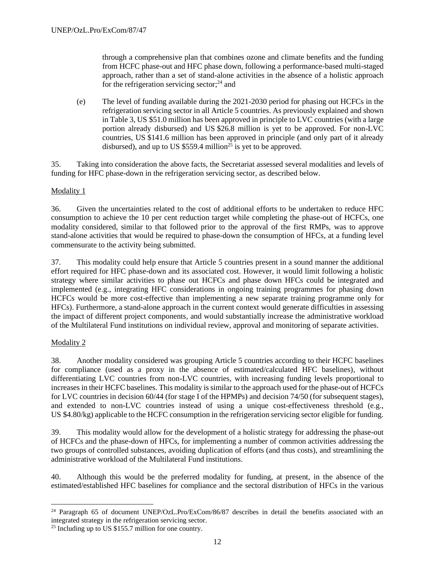through a comprehensive plan that combines ozone and climate benefits and the funding from HCFC phase-out and HFC phase down, following a performance-based multi-staged approach, rather than a set of stand-alone activities in the absence of a holistic approach for the refrigeration servicing sector;<sup>24</sup> and

(e) The level of funding available during the 2021-2030 period for phasing out HCFCs in the refrigeration servicing sector in all Article 5 countries. As previously explained and shown in Table 3, US \$51.0 million has been approved in principle to LVC countries (with a large portion already disbursed) and US \$26.8 million is yet to be approved. For non-LVC countries, US \$141.6 million has been approved in principle (and only part of it already disbursed), and up to US  $$559.4$  million<sup>25</sup> is yet to be approved.

35. Taking into consideration the above facts, the Secretariat assessed several modalities and levels of funding for HFC phase-down in the refrigeration servicing sector, as described below.

## Modality 1

36. Given the uncertainties related to the cost of additional efforts to be undertaken to reduce HFC consumption to achieve the 10 per cent reduction target while completing the phase-out of HCFCs, one modality considered, similar to that followed prior to the approval of the first RMPs, was to approve stand-alone activities that would be required to phase-down the consumption of HFCs, at a funding level commensurate to the activity being submitted.

37. This modality could help ensure that Article 5 countries present in a sound manner the additional effort required for HFC phase-down and its associated cost. However, it would limit following a holistic strategy where similar activities to phase out HCFCs and phase down HFCs could be integrated and implemented (e.g., integrating HFC considerations in ongoing training programmes for phasing down HCFCs would be more cost-effective than implementing a new separate training programme only for HFCs). Furthermore, a stand-alone approach in the current context would generate difficulties in assessing the impact of different project components, and would substantially increase the administrative workload of the Multilateral Fund institutions on individual review, approval and monitoring of separate activities.

#### Modality 2

38. Another modality considered was grouping Article 5 countries according to their HCFC baselines for compliance (used as a proxy in the absence of estimated/calculated HFC baselines), without differentiating LVC countries from non-LVC countries, with increasing funding levels proportional to increases in their HCFC baselines. This modality is similar to the approach used for the phase-out of HCFCs for LVC countries in decision 60/44 (for stage I of the HPMPs) and decision 74/50 (for subsequent stages), and extended to non-LVC countries instead of using a unique cost-effectiveness threshold (e.g., US \$4.80/kg) applicable to the HCFC consumption in the refrigeration servicing sector eligible for funding.

39. This modality would allow for the development of a holistic strategy for addressing the phase-out of HCFCs and the phase-down of HFCs, for implementing a number of common activities addressing the two groups of controlled substances, avoiding duplication of efforts (and thus costs), and streamlining the administrative workload of the Multilateral Fund institutions.

40. Although this would be the preferred modality for funding, at present, in the absence of the estimated/established HFC baselines for compliance and the sectoral distribution of HFCs in the various

<sup>&</sup>lt;sup>24</sup> Paragraph 65 of document UNEP/OzL.Pro/ExCom/86/87 describes in detail the benefits associated with an integrated strategy in the refrigeration servicing sector.

<sup>25</sup> Including up to US \$155.7 million for one country.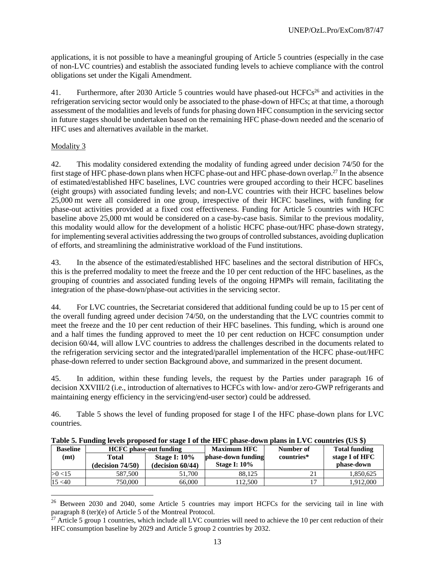applications, it is not possible to have a meaningful grouping of Article 5 countries (especially in the case of non-LVC countries) and establish the associated funding levels to achieve compliance with the control obligations set under the Kigali Amendment.

41. Furthermore, after 2030 Article 5 countries would have phased-out HCFCs<sup>26</sup> and activities in the refrigeration servicing sector would only be associated to the phase-down of HFCs; at that time, a thorough assessment of the modalities and levels of funds for phasing down HFC consumption in the servicing sector in future stages should be undertaken based on the remaining HFC phase-down needed and the scenario of HFC uses and alternatives available in the market.

## Modality 3

42. This modality considered extending the modality of funding agreed under decision 74/50 for the first stage of HFC phase-down plans when HCFC phase-out and HFC phase-down overlap.<sup>27</sup> In the absence of estimated/established HFC baselines, LVC countries were grouped according to their HCFC baselines (eight groups) with associated funding levels; and non-LVC countries with their HCFC baselines below 25,000 mt were all considered in one group, irrespective of their HCFC baselines, with funding for phase-out activities provided at a fixed cost effectiveness. Funding for Article 5 countries with HCFC baseline above 25,000 mt would be considered on a case-by-case basis. Similar to the previous modality, this modality would allow for the development of a holistic HCFC phase-out/HFC phase-down strategy, for implementing several activities addressing the two groups of controlled substances, avoiding duplication of efforts, and streamlining the administrative workload of the Fund institutions.

43. In the absence of the estimated/established HFC baselines and the sectoral distribution of HFCs, this is the preferred modality to meet the freeze and the 10 per cent reduction of the HFC baselines, as the grouping of countries and associated funding levels of the ongoing HPMPs will remain, facilitating the integration of the phase-down/phase-out activities in the servicing sector.

44. For LVC countries, the Secretariat considered that additional funding could be up to 15 per cent of the overall funding agreed under decision 74/50, on the understanding that the LVC countries commit to meet the freeze and the 10 per cent reduction of their HFC baselines. This funding, which is around one and a half times the funding approved to meet the 10 per cent reduction on HCFC consumption under decision 60/44, will allow LVC countries to address the challenges described in the documents related to the refrigeration servicing sector and the integrated/parallel implementation of the HCFC phase-out/HFC phase-down referred to under section Background above, and summarized in the present document.

45. In addition, within these funding levels, the request by the Parties under paragraph 16 of decision XXVIII/2 (i.e., introduction of alternatives to HCFCs with low- and/or zero-GWP refrigerants and maintaining energy efficiency in the servicing/end-user sector) could be addressed.

46. Table 5 shows the level of funding proposed for stage I of the HFC phase-down plans for LVC countries.

| Table 5. Funding levels proposed for stage I of the first phase-down plans in EVC countries (OS $\phi$ ) |                               |                     |                     |            |                      |
|----------------------------------------------------------------------------------------------------------|-------------------------------|---------------------|---------------------|------------|----------------------|
| <b>Baseline</b>                                                                                          | <b>HCFC</b> phase-out funding |                     | <b>Maximum HFC</b>  | Number of  | <b>Total funding</b> |
| (mt)                                                                                                     | Total                         | <b>Stage I: 10%</b> | phase-down funding  | countries* | stage I of HFC       |
|                                                                                                          | $-decision 74/50)$            | $-decision 60/44)$  | <b>Stage I: 10%</b> |            | phase-down           |
| >0<15                                                                                                    | 587,500                       | 51,700              | 88.125              |            | 1,850,625            |
| 15 < 40                                                                                                  | 750,000                       | 66,000              | 112.500             |            | 1.912.000            |

**Table 5. Funding levels proposed for stage I of the HFC phase-down plans in LVC countries (US \$)**

<sup>&</sup>lt;sup>26</sup> Between 2030 and 2040, some Article 5 countries may import HCFCs for the servicing tail in line with paragraph 8 (ter)(e) of Article 5 of the Montreal Protocol.

 $^{27}$  Article 5 group 1 countries, which include all LVC countries will need to achieve the 10 per cent reduction of their HFC consumption baseline by 2029 and Article 5 group 2 countries by 2032.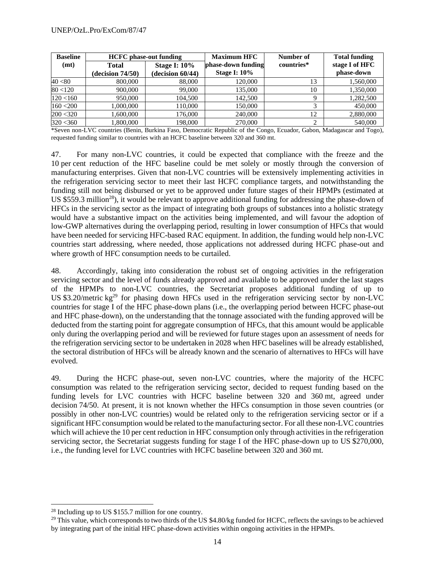| <b>Baseline</b> | <b>HCFC</b> phase-out funding |                     | <b>Maximum HFC</b>  | Number of  | <b>Total funding</b> |
|-----------------|-------------------------------|---------------------|---------------------|------------|----------------------|
| (mt)            | Total                         | <b>Stage I: 10%</b> | phase-down funding  | countries* | stage I of HFC       |
|                 | (decision 74/50)              | $-decision 60/44)$  | <b>Stage I: 10%</b> |            | phase-down           |
| 40 < 80         | 800,000                       | 88,000              | 120,000             | 13         | 1,560,000            |
| 80 < 120        | 900,000                       | 99,000              | 135,000             | 10         | 1,350,000            |
| 120 < 160       | 950,000                       | 104.500             | 142,500             | Q          | 1,282,500            |
| 160 < 200       | 1.000.000                     | 110.000             | 150,000             | 2          | 450,000              |
| 200 < 320       | 1,600,000                     | 176.000             | 240,000             | 12         | 2,880,000            |
| 320 < 360       | 1.800.000                     | 198,000             | 270,000             | ↑          | 540,000              |

\*Seven non-LVC countries (Benin, Burkina Faso, Democratic Republic of the Congo, Ecuador, Gabon, Madagascar and Togo), requested funding similar to countries with an HCFC baseline between 320 and 360 mt.

47. For many non-LVC countries, it could be expected that compliance with the freeze and the 10 per cent reduction of the HFC baseline could be met solely or mostly through the conversion of manufacturing enterprises. Given that non-LVC countries will be extensively implementing activities in the refrigeration servicing sector to meet their last HCFC compliance targets, and notwithstanding the funding still not being disbursed or yet to be approved under future stages of their HPMPs (estimated at US \$559.3 million<sup>28</sup>), it would be relevant to approve additional funding for addressing the phase-down of HFCs in the servicing sector as the impact of integrating both groups of substances into a holistic strategy would have a substantive impact on the activities being implemented, and will favour the adoption of low-GWP alternatives during the overlapping period, resulting in lower consumption of HFCs that would have been needed for servicing HFC-based RAC equipment. In addition, the funding would help non-LVC countries start addressing, where needed, those applications not addressed during HCFC phase-out and where growth of HFC consumption needs to be curtailed.

48. Accordingly, taking into consideration the robust set of ongoing activities in the refrigeration servicing sector and the level of funds already approved and available to be approved under the last stages of the HPMPs to non-LVC countries, the Secretariat proposes additional funding of up to US \$3.20/metric kg<sup>29</sup> for phasing down HFCs used in the refrigeration servicing sector by non-LVC countries for stage I of the HFC phase-down plans (i.e., the overlapping period between HCFC phase-out and HFC phase-down), on the understanding that the tonnage associated with the funding approved will be deducted from the starting point for aggregate consumption of HFCs, that this amount would be applicable only during the overlapping period and will be reviewed for future stages upon an assessment of needs for the refrigeration servicing sector to be undertaken in 2028 when HFC baselines will be already established, the sectoral distribution of HFCs will be already known and the scenario of alternatives to HFCs will have evolved.

49. During the HCFC phase-out, seven non-LVC countries, where the majority of the HCFC consumption was related to the refrigeration servicing sector, decided to request funding based on the funding levels for LVC countries with HCFC baseline between 320 and 360 mt, agreed under decision 74/50. At present, it is not known whether the HFCs consumption in those seven countries (or possibly in other non-LVC countries) would be related only to the refrigeration servicing sector or if a significant HFC consumption would be related to the manufacturing sector. For all these non-LVC countries which will achieve the 10 per cent reduction in HFC consumption only through activities in the refrigeration servicing sector, the Secretariat suggests funding for stage I of the HFC phase-down up to US \$270,000, i.e., the funding level for LVC countries with HCFC baseline between 320 and 360 mt.

<sup>28</sup> Including up to US \$155.7 million for one country.

<sup>&</sup>lt;sup>29</sup> This value, which corresponds to two thirds of the US \$4.80/kg funded for HCFC, reflects the savings to be achieved by integrating part of the initial HFC phase-down activities within ongoing activities in the HPMPs.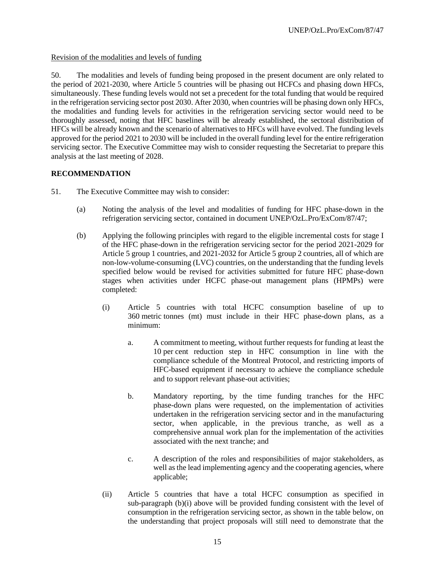Revision of the modalities and levels of funding

50. The modalities and levels of funding being proposed in the present document are only related to the period of 2021-2030, where Article 5 countries will be phasing out HCFCs and phasing down HFCs, simultaneously. These funding levels would not set a precedent for the total funding that would be required in the refrigeration servicing sector post 2030. After 2030, when countries will be phasing down only HFCs, the modalities and funding levels for activities in the refrigeration servicing sector would need to be thoroughly assessed, noting that HFC baselines will be already established, the sectoral distribution of HFCs will be already known and the scenario of alternatives to HFCs will have evolved. The funding levels approved for the period 2021 to 2030 will be included in the overall funding level for the entire refrigeration servicing sector. The Executive Committee may wish to consider requesting the Secretariat to prepare this analysis at the last meeting of 2028.

# **RECOMMENDATION**

- 51. The Executive Committee may wish to consider:
	- (a) Noting the analysis of the level and modalities of funding for HFC phase-down in the refrigeration servicing sector, contained in document UNEP/OzL.Pro/ExCom/87/47;
	- (b) Applying the following principles with regard to the eligible incremental costs for stage I of the HFC phase-down in the refrigeration servicing sector for the period 2021-2029 for Article 5 group 1 countries, and 2021-2032 for Article 5 group 2 countries, all of which are non-low-volume-consuming (LVC) countries, on the understanding that the funding levels specified below would be revised for activities submitted for future HFC phase-down stages when activities under HCFC phase-out management plans (HPMPs) were completed:
		- (i) Article 5 countries with total HCFC consumption baseline of up to 360 metric tonnes (mt) must include in their HFC phase-down plans, as a minimum:
			- a. A commitment to meeting, without further requests for funding at least the 10 per cent reduction step in HFC consumption in line with the compliance schedule of the Montreal Protocol, and restricting imports of HFC-based equipment if necessary to achieve the compliance schedule and to support relevant phase-out activities;
			- b. Mandatory reporting, by the time funding tranches for the HFC phase-down plans were requested, on the implementation of activities undertaken in the refrigeration servicing sector and in the manufacturing sector, when applicable, in the previous tranche, as well as a comprehensive annual work plan for the implementation of the activities associated with the next tranche; and
			- c. A description of the roles and responsibilities of major stakeholders, as well as the lead implementing agency and the cooperating agencies, where applicable;
		- (ii) Article 5 countries that have a total HCFC consumption as specified in sub-paragraph (b)(i) above will be provided funding consistent with the level of consumption in the refrigeration servicing sector, as shown in the table below, on the understanding that project proposals will still need to demonstrate that the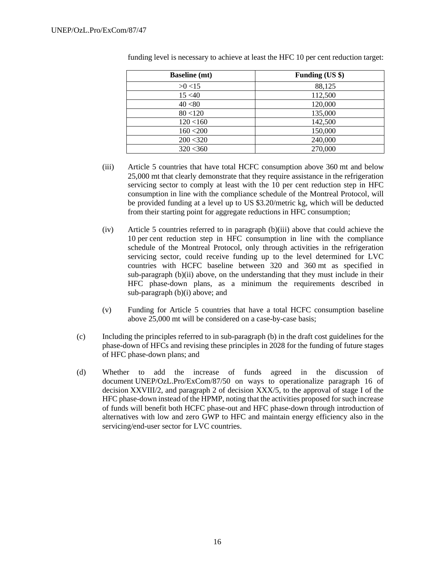| <b>Baseline</b> (mt) | Funding (US \$) |
|----------------------|-----------------|
| >0<15                | 88,125          |
| 15 < 40              | 112,500         |
| 40 < 80              | 120,000         |
| 80 < 120             | 135,000         |
| 120 < 160            | 142,500         |
| 160 < 200            | 150,000         |
| 200 < 320            | 240,000         |
| 320 < 360            | 270,000         |

funding level is necessary to achieve at least the HFC 10 per cent reduction target:

- (iii) Article 5 countries that have total HCFC consumption above 360 mt and below 25,000 mt that clearly demonstrate that they require assistance in the refrigeration servicing sector to comply at least with the 10 per cent reduction step in HFC consumption in line with the compliance schedule of the Montreal Protocol, will be provided funding at a level up to US \$3.20/metric kg, which will be deducted from their starting point for aggregate reductions in HFC consumption;
- (iv) Article 5 countries referred to in paragraph (b)(iii) above that could achieve the 10 per cent reduction step in HFC consumption in line with the compliance schedule of the Montreal Protocol, only through activities in the refrigeration servicing sector, could receive funding up to the level determined for LVC countries with HCFC baseline between 320 and 360 mt as specified in sub-paragraph (b)(ii) above, on the understanding that they must include in their HFC phase-down plans, as a minimum the requirements described in sub-paragraph (b)(i) above; and
- (v) Funding for Article 5 countries that have a total HCFC consumption baseline above 25,000 mt will be considered on a case-by-case basis;
- (c) Including the principles referred to in sub-paragraph (b) in the draft cost guidelines for the phase-down of HFCs and revising these principles in 2028 for the funding of future stages of HFC phase-down plans; and
- (d) Whether to add the increase of funds agreed in the discussion of document UNEP/OzL.Pro/ExCom/87/50 on ways to operationalize paragraph 16 of decision XXVIII/2, and paragraph 2 of decision XXX/5, to the approval of stage I of the HFC phase-down instead of the HPMP, noting that the activities proposed for such increase of funds will benefit both HCFC phase-out and HFC phase-down through introduction of alternatives with low and zero GWP to HFC and maintain energy efficiency also in the servicing/end-user sector for LVC countries.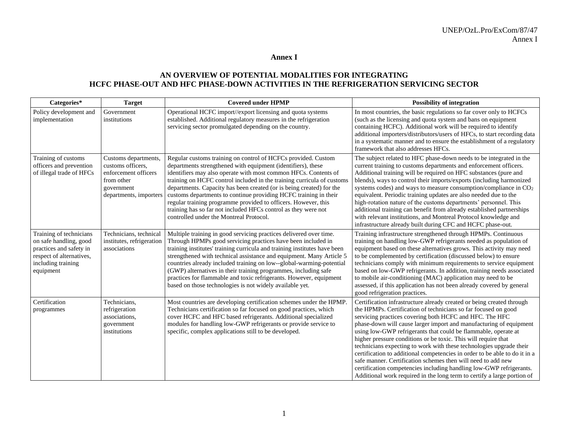#### **Annex I**

# **AN OVERVIEW OF POTENTIAL MODALITIES FOR INTEGRATING HCFC PHASE-OUT AND HFC PHASE-DOWN ACTIVITIES IN THE REFRIGERATION SERVICING SECTOR**

| Categories*                                                                                                                                 | <b>Target</b>                                                                                                           | <b>Covered under HPMP</b>                                                                                                                                                                                                                                                                                                                                                                                                                                                                                                                                                                             | <b>Possibility of integration</b>                                                                                                                                                                                                                                                                                                                                                                                                                                                                                                                                                                                                                                                                                                                                                   |
|---------------------------------------------------------------------------------------------------------------------------------------------|-------------------------------------------------------------------------------------------------------------------------|-------------------------------------------------------------------------------------------------------------------------------------------------------------------------------------------------------------------------------------------------------------------------------------------------------------------------------------------------------------------------------------------------------------------------------------------------------------------------------------------------------------------------------------------------------------------------------------------------------|-------------------------------------------------------------------------------------------------------------------------------------------------------------------------------------------------------------------------------------------------------------------------------------------------------------------------------------------------------------------------------------------------------------------------------------------------------------------------------------------------------------------------------------------------------------------------------------------------------------------------------------------------------------------------------------------------------------------------------------------------------------------------------------|
| Policy development and<br>implementation                                                                                                    | Government<br>institutions                                                                                              | Operational HCFC import//export licensing and quota systems<br>established. Additional regulatory measures in the refrigeration<br>servicing sector promulgated depending on the country.                                                                                                                                                                                                                                                                                                                                                                                                             | In most countries, the basic regulations so far cover only to HCFCs<br>(such as the licensing and quota system and bans on equipment<br>containing HCFC). Additional work will be required to identify<br>additional importers/distributors/users of HFCs, to start recording data<br>in a systematic manner and to ensure the establishment of a regulatory<br>framework that also addresses HFCs.                                                                                                                                                                                                                                                                                                                                                                                 |
| Training of customs<br>officers and prevention<br>of illegal trade of HFCs                                                                  | Customs departments,<br>customs officers.<br>enforcement officers<br>from other<br>government<br>departments, importers | Regular customs training on control of HCFCs provided. Custom<br>departments strengthened with equipment (identifiers), these<br>identifiers may also operate with most common HFCs. Contents of<br>training on HCFC control included in the training curricula of customs<br>departments. Capacity has been created (or is being created) for the<br>customs departments to continue providing HCFC training in their<br>regular training programme provided to officers. However, this<br>training has so far not included HFCs control as they were not<br>controlled under the Montreal Protocol. | The subject related to HFC phase-down needs to be integrated in the<br>current training to customs departments and enforcement officers.<br>Additional training will be required on HFC substances (pure and<br>blends), ways to control their imports/exports (including harmonized<br>systems codes) and ways to measure consumption/compliance in CO <sub>2</sub><br>equivalent. Periodic training updates are also needed due to the<br>high-rotation nature of the customs departments' personnel. This<br>additional training can benefit from already established partnerships<br>with relevant institutions, and Montreal Protocol knowledge and<br>infrastructure already built during CFC and HCFC phase-out.                                                             |
| Training of technicians<br>on safe handling, good<br>practices and safety in<br>respect of alternatives,<br>including training<br>equipment | Technicians, technical<br>institutes, refrigeration<br>associations                                                     | Multiple training in good servicing practices delivered over time.<br>Through HPMPs good servicing practices have been included in<br>training institutes' training curricula and training institutes have been<br>strengthened with technical assistance and equipment. Many Article 5<br>countries already included training on low--global-warming-potential<br>(GWP) alternatives in their training programmes, including safe<br>practices for flammable and toxic refrigerants. However, equipment<br>based on those technologies is not widely available yet.                                  | Training infrastructure strengthened through HPMPs. Continuous<br>training on handling low-GWP refrigerants needed as population of<br>equipment based on these alternatives grows. This activity may need<br>to be complemented by certification (discussed below) to ensure<br>technicians comply with minimum requirements to service equipment<br>based on low-GWP refrigerants. In addition, training needs associated<br>to mobile air-conditioning (MAC) application may need to be<br>assessed, if this application has not been already covered by general<br>good refrigeration practices.                                                                                                                                                                                |
| Certification<br>programmes                                                                                                                 | Technicians,<br>refrigeration<br>associations,<br>government<br>institutions                                            | Most countries are developing certification schemes under the HPMP.<br>Technicians certification so far focused on good practices, which<br>cover HCFC and HFC based refrigerants. Additional specialized<br>modules for handling low-GWP refrigerants or provide service to<br>specific, complex applications still to be developed.                                                                                                                                                                                                                                                                 | Certification infrastructure already created or being created through<br>the HPMPs. Certification of technicians so far focused on good<br>servicing practices covering both HCFC and HFC. The HFC<br>phase-down will cause larger import and manufacturing of equipment<br>using low-GWP refrigerants that could be flammable, operate at<br>higher pressure conditions or be toxic. This will require that<br>technicians expecting to work with these technologies upgrade their<br>certification to additional competencies in order to be able to do it in a<br>safe manner. Certification schemes then will need to add new<br>certification competencies including handling low-GWP refrigerants.<br>Additional work required in the long term to certify a large portion of |